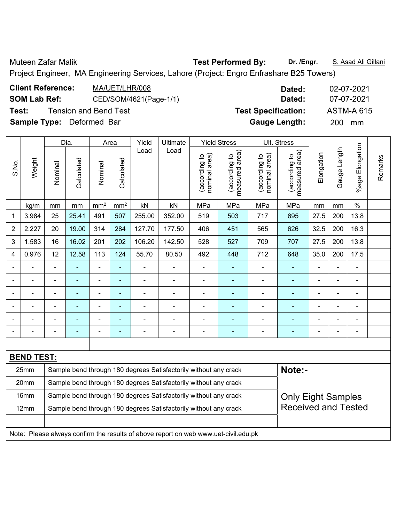Muteen Zafar Malik **Test Performed By:** Dr. /Engr. **S. Asad Ali Gillani** Ali Gillani

Project Engineer, MA Engineering Services, Lahore (Project: Engro Enfrashare B25 Towers)

| <b>Client Reference:</b>         | MA/UET/LHR/008               | Dated:                     | 02-07-2021        |
|----------------------------------|------------------------------|----------------------------|-------------------|
| <b>SOM Lab Ref:</b>              | CED/SOM/4621(Page-1/1)       | Dated:                     | 07-07-2021        |
| Test:                            | <b>Tension and Bend Test</b> | <b>Test Specification:</b> | <b>ASTM-A 615</b> |
| <b>Sample Type:</b> Deformed Bar |                              | <b>Gauge Length:</b>       | <b>200</b><br>mm  |

|                |                   |                                                                                                | Dia.           |                 | Area                     | Yield          | Ultimate                                                                            |                                | <b>Yield Stress</b>             |                                | Ult. Stress                     |                |              |                           |         |
|----------------|-------------------|------------------------------------------------------------------------------------------------|----------------|-----------------|--------------------------|----------------|-------------------------------------------------------------------------------------|--------------------------------|---------------------------------|--------------------------------|---------------------------------|----------------|--------------|---------------------------|---------|
| S.No.          | Weight            | Nominal                                                                                        | Calculated     | Nominal         | Calculated               | Load           | Load                                                                                | nominal area)<br>(according to | measured area)<br>(according to | nominal area)<br>(according to | (according to<br>measured area) | Elongation     | Gauge Length | Elongation<br>$%$ age $I$ | Remarks |
|                | kg/m              | mm                                                                                             | mm             | mm <sup>2</sup> | mm <sup>2</sup>          | kN             | kN                                                                                  | MPa                            | MPa                             | MPa                            | MPa                             | mm             | mm           | $\%$                      |         |
| 1              | 3.984             | 25                                                                                             | 25.41          | 491             | 507                      | 255.00         | 352.00                                                                              | 519                            | 503                             | 717                            | 695                             | 27.5           | 200          | 13.8                      |         |
| $\overline{2}$ | 2.227             | 20                                                                                             | 19.00          | 314             | 284                      | 127.70         | 177.50                                                                              | 406                            | 451                             | 565                            | 626                             | 32.5           | 200          | 16.3                      |         |
| 3              | 1.583             | 16                                                                                             | 16.02          | 201             | 202                      | 106.20         | 142.50                                                                              | 528                            | 527                             | 709                            | 707                             | 27.5           | 200          | 13.8                      |         |
| 4              | 0.976             | 12                                                                                             | 12.58          | 113             | 124                      | 55.70          | 80.50                                                                               | 492                            | 448                             | 712                            | 648                             | 35.0           | 200          | 17.5                      |         |
| $\blacksquare$ |                   | ÷,                                                                                             |                | $\blacksquare$  | ä,                       | $\blacksquare$ | $\blacksquare$                                                                      | $\overline{\phantom{a}}$       | ۰                               |                                | $\blacksquare$                  | $\blacksquare$ | ä,           | $\blacksquare$            |         |
|                |                   | $\blacksquare$                                                                                 | $\blacksquare$ | $\blacksquare$  | $\overline{\phantom{a}}$ | $\blacksquare$ | $\blacksquare$                                                                      | $\overline{a}$                 | $\blacksquare$                  | $\blacksquare$                 | $\overline{\phantom{0}}$        | $\blacksquare$ | L,           | $\blacksquare$            |         |
|                |                   | $\blacksquare$                                                                                 | ä,             | $\blacksquare$  | $\blacksquare$           | $\blacksquare$ | $\blacksquare$                                                                      | $\blacksquare$                 | $\blacksquare$                  | $\blacksquare$                 | ÷                               | $\blacksquare$ | ä,           | $\blacksquare$            |         |
|                |                   | $\blacksquare$                                                                                 | ۰              | $\blacksquare$  | L,                       | ۰              | ä,                                                                                  | $\blacksquare$                 | ÷                               |                                |                                 |                | L,           | $\blacksquare$            |         |
|                |                   |                                                                                                |                |                 |                          |                |                                                                                     | $\blacksquare$                 | $\blacksquare$                  |                                |                                 |                |              | $\blacksquare$            |         |
|                |                   |                                                                                                |                |                 | ÷                        | ۰              | ÷                                                                                   | $\overline{\phantom{0}}$       |                                 |                                |                                 |                | -            | Ē,                        |         |
|                |                   |                                                                                                |                |                 |                          |                |                                                                                     |                                |                                 |                                |                                 |                |              |                           |         |
|                | <b>BEND TEST:</b> |                                                                                                |                |                 |                          |                |                                                                                     |                                |                                 |                                |                                 |                |              |                           |         |
|                | 25mm              |                                                                                                |                |                 |                          |                | Sample bend through 180 degrees Satisfactorily without any crack                    |                                |                                 |                                | Note:-                          |                |              |                           |         |
|                | 20mm              |                                                                                                |                |                 |                          |                | Sample bend through 180 degrees Satisfactorily without any crack                    |                                |                                 |                                |                                 |                |              |                           |         |
|                | 16mm              |                                                                                                |                |                 |                          |                | Sample bend through 180 degrees Satisfactorily without any crack                    |                                |                                 |                                | <b>Only Eight Samples</b>       |                |              |                           |         |
|                | 12mm              | <b>Received and Tested</b><br>Sample bend through 180 degrees Satisfactorily without any crack |                |                 |                          |                |                                                                                     |                                |                                 |                                |                                 |                |              |                           |         |
|                |                   |                                                                                                |                |                 |                          |                |                                                                                     |                                |                                 |                                |                                 |                |              |                           |         |
|                |                   |                                                                                                |                |                 |                          |                | Note: Please always confirm the results of above report on web www.uet-civil.edu.pk |                                |                                 |                                |                                 |                |              |                           |         |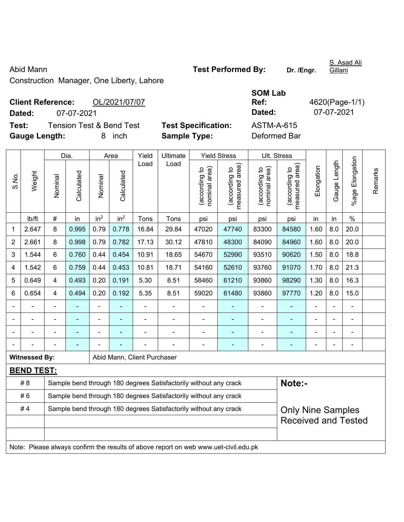Construction Manager, One Liberty, Lahore

## **Client Reference:** OL/2021/07/07 **Dated:** 07-07-2021 **Dated:** 07-07-2021 **Test:** Tension Test & Bend Test **Test Specification:** ASTM-A-615

**Gauge Length:** 8 inch **Sample Type:** Deformed Bar

|                |                      |                                                                  | Dia.           |                              | Area            | Yield                       | Ultimate                                                                            |                                | <b>Yield Stress</b>             |                                | Ult. Stress                                 |                |                |                       |         |
|----------------|----------------------|------------------------------------------------------------------|----------------|------------------------------|-----------------|-----------------------------|-------------------------------------------------------------------------------------|--------------------------------|---------------------------------|--------------------------------|---------------------------------------------|----------------|----------------|-----------------------|---------|
| S.No.          | Weight               | Nominal                                                          | Calculated     | Nominal                      | Calculated      | Load                        | Load                                                                                | nominal area)<br>(according to | (according to<br>measured area) | nominal area)<br>(according to | (according to<br>neasured area)<br>measured | Elongation     | Gauge Length   | Elongation<br>$%$ age | Remarks |
|                | Ib/ft                | $\#$                                                             | in             | in <sup>2</sup>              | in <sup>2</sup> | Tons                        | Tons                                                                                | psi                            | psi                             | psi                            | psi                                         | in             | in             | $\%$                  |         |
| $\mathbf 1$    | 2.647                | 8                                                                | 0.995          | 0.79                         | 0.778           | 16.84                       | 83300                                                                               | 84580                          | 1.60                            | 8.0                            | 20.0                                        |                |                |                       |         |
| $\overline{2}$ | 2.661                | 8                                                                | 0.998          | 0.79                         | 0.782           | 17.13                       | 30.12                                                                               | 47810                          | 48300                           | 84090                          | 84960                                       | 1.60           | 8.0            | 20.0                  |         |
| 3              | 1.544                | $6\phantom{1}$                                                   | 0.760          | 0.44                         | 0.454           | 10.91                       | 18.65                                                                               | 54670                          | 52990                           | 93510                          | 90620                                       | 1.50           | 8.0            | 18.8                  |         |
| 4              | 1.542                | $6\phantom{1}6$                                                  | 0.759          | 0.44                         | 0.453           | 10.81                       | 18.71                                                                               | 54160                          | 52610                           | 93760                          | 91070                                       | 1.70           | 8.0            | 21.3                  |         |
| 5              | 0.649                | 4                                                                | 0.493          | 0.20                         | 0.191           | 5.30                        | 8.51                                                                                | 58460                          | 61210                           | 93860                          | 98290                                       | 1.30           | 8.0            | 16.3                  |         |
| 6              | 0.654                | 4                                                                | 0.494          | 0.20                         | 0.192           | 5.35                        | 8.51                                                                                | 59020                          | 61480                           | 93860                          | 97770                                       | 1.20           | 8.0            | 15.0                  |         |
|                |                      |                                                                  |                |                              |                 |                             |                                                                                     | $\blacksquare$                 |                                 |                                |                                             |                |                |                       |         |
| $\blacksquare$ |                      | ä,                                                               | ä,             | $\qquad \qquad \blacksquare$ |                 | ä,                          | $\blacksquare$                                                                      | $\blacksquare$                 | $\blacksquare$                  | $\qquad \qquad \blacksquare$   | ä,                                          | $\blacksquare$ | $\blacksquare$ | ä,                    |         |
| $\blacksquare$ |                      | $\blacksquare$                                                   | ä,             | ÷                            | ٠               | $\blacksquare$              | $\blacksquare$                                                                      | $\blacksquare$                 | $\blacksquare$                  | $\blacksquare$                 | ä,                                          | $\blacksquare$ |                | Ē,                    |         |
|                |                      |                                                                  | $\blacksquare$ |                              |                 |                             |                                                                                     | $\blacksquare$                 | ۰                               | $\blacksquare$                 | $\blacksquare$                              | ä,             |                | $\blacksquare$        |         |
|                | <b>Witnessed By:</b> |                                                                  |                |                              |                 | Abid Mann, Client Purchaser |                                                                                     |                                |                                 |                                |                                             |                |                |                       |         |
|                | <b>BEND TEST:</b>    |                                                                  |                |                              |                 |                             |                                                                                     |                                |                                 |                                |                                             |                |                |                       |         |
|                | #8                   |                                                                  |                |                              |                 |                             | Sample bend through 180 degrees Satisfactorily without any crack                    |                                |                                 |                                | Note:-                                      |                |                |                       |         |
|                | #6                   | Sample bend through 180 degrees Satisfactorily without any crack |                |                              |                 |                             |                                                                                     |                                |                                 |                                |                                             |                |                |                       |         |
|                | #4                   | Sample bend through 180 degrees Satisfactorily without any crack |                |                              |                 |                             |                                                                                     |                                |                                 |                                | <b>Only Nine Samples</b>                    |                |                |                       |         |
|                |                      |                                                                  |                |                              |                 |                             |                                                                                     |                                |                                 |                                | <b>Received and Tested</b>                  |                |                |                       |         |
|                |                      |                                                                  |                |                              |                 |                             |                                                                                     |                                |                                 |                                |                                             |                |                |                       |         |
|                |                      |                                                                  |                |                              |                 |                             | Note: Please always confirm the results of above report on web www.uet-civil.edu.pk |                                |                                 |                                |                                             |                |                |                       |         |

**SOM Lab Ref:** 4620(Page-1/1)

S. Asad Ali Gillani

Abid Mann **Test Performed By:** Dr. /Engr.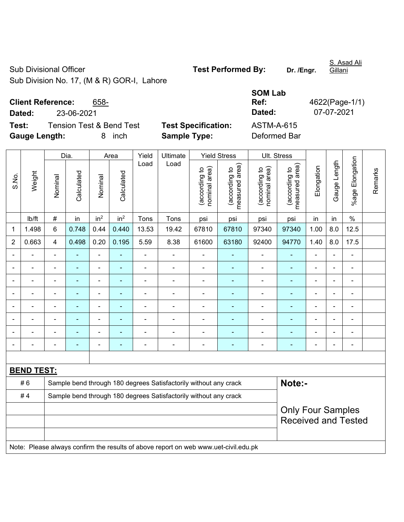## Sub Divisional Officer **Test Performed By:** Dr. /Engr.

S. Asad Ali Gillani

Sub Division No. 17, (M & R) GOR-I, Lahore

## **Client Reference:** 658-

**Test:** Tension Test & Bend Test **Test Specification: Gauge Length:** 8 inch **Sample Type:** Deformed Bar

|                              |                                  |                            | <b>SOM Lab</b> |                |
|------------------------------|----------------------------------|----------------------------|----------------|----------------|
|                              | <b>Client Reference:</b><br>658- |                            | Ref:           | 4622(Page-1/1) |
| Dated:                       | 23-06-2021                       |                            | Dated:         | 07-07-2021     |
| Test:                        | Tension Test & Bend Test         | <b>Test Specification:</b> | ASTM-A-615     |                |
| <b>October 10 Annualists</b> | المحبة الم                       | Capalo Turis               | Defenseed Den  |                |

|                |                   |                                                                  | Dia.           |                 | Area            | Yield          | Ultimate                                                                            |                                | <b>Yield Stress</b>             |                                | Ult. Stress                     |                |                          |                          |         |
|----------------|-------------------|------------------------------------------------------------------|----------------|-----------------|-----------------|----------------|-------------------------------------------------------------------------------------|--------------------------------|---------------------------------|--------------------------------|---------------------------------|----------------|--------------------------|--------------------------|---------|
| S.No.          | Weight            | Nominal                                                          | Calculated     | Nominal         | Calculated      | Load           | Load                                                                                | nominal area)<br>(according to | (according to<br>measured area) | nominal area)<br>(according to | measured area)<br>(according to | Elongation     | Gauge Length             | %age Elongation          | Remarks |
|                | Ib/ft             | $\#$                                                             | in             | in <sup>2</sup> | in <sup>2</sup> | Tons           | Tons                                                                                | psi                            | psi                             | psi                            | psi                             | in             | in                       | $\%$                     |         |
| 1              | 1.498             | 6                                                                | 0.748          | 0.44            | 0.440           | 13.53          | 19.42                                                                               | 67810                          | 67810                           | 97340                          | 97340                           | 1.00           | 8.0                      | 12.5                     |         |
| $\overline{2}$ | 0.663             | 4                                                                | 0.498          | 0.20            | 0.195           | 5.59           | 8.38                                                                                | 61600                          | 63180                           | 92400                          | 94770                           | 1.40           | 8.0                      | 17.5                     |         |
|                |                   |                                                                  | $\blacksquare$ | $\blacksquare$  |                 | L,             | ÷,                                                                                  |                                | ÷                               | $\blacksquare$                 | $\blacksquare$                  |                | $\blacksquare$           | $\overline{\phantom{a}}$ |         |
|                | ÷                 |                                                                  | ä,             | ÷,              | ä,              | ä,             | $\blacksquare$                                                                      | ä,                             | ä,                              | $\blacksquare$                 | ä,                              | $\blacksquare$ | $\blacksquare$           | ÷,                       |         |
|                |                   |                                                                  |                | $\blacksquare$  |                 |                |                                                                                     |                                |                                 |                                |                                 |                |                          |                          |         |
|                |                   |                                                                  |                | ÷,              |                 | L              | $\blacksquare$                                                                      |                                |                                 | ۰                              | $\blacksquare$                  |                |                          | L,                       |         |
| $\blacksquare$ | ä,                |                                                                  | ٠              | $\blacksquare$  | ٠               | ÷              | $\blacksquare$                                                                      | $\blacksquare$                 | $\overline{\phantom{0}}$        | ÷                              | $\blacksquare$                  | $\blacksquare$ | $\overline{\phantom{a}}$ | $\blacksquare$           |         |
|                | ÷                 | $\blacksquare$                                                   | $\blacksquare$ | ÷,              |                 | $\blacksquare$ | $\blacksquare$                                                                      | $\blacksquare$                 | $\overline{\phantom{0}}$        | $\blacksquare$                 | ٠                               | $\blacksquare$ | $\blacksquare$           | $\blacksquare$           |         |
|                | ÷                 |                                                                  | ä,             | $\blacksquare$  | ä,              | ÷              | $\blacksquare$                                                                      | ä,                             | ÷,                              | ÷                              | ä,                              |                | ä,                       | L,                       |         |
|                | ÷                 |                                                                  | ÷              | -               | ÷,              | ÷              | $\blacksquare$                                                                      |                                | $\blacksquare$                  | $\blacksquare$                 | ۰                               |                | $\overline{\phantom{a}}$ | ä,                       |         |
|                |                   |                                                                  |                |                 |                 |                |                                                                                     |                                |                                 |                                |                                 |                |                          |                          |         |
|                | <b>BEND TEST:</b> |                                                                  |                |                 |                 |                |                                                                                     |                                |                                 |                                |                                 |                |                          |                          |         |
|                | #6                |                                                                  |                |                 |                 |                | Sample bend through 180 degrees Satisfactorily without any crack                    |                                |                                 |                                | Note:-                          |                |                          |                          |         |
|                | #4                | Sample bend through 180 degrees Satisfactorily without any crack |                |                 |                 |                |                                                                                     |                                |                                 |                                |                                 |                |                          |                          |         |
|                |                   | <b>Only Four Samples</b>                                         |                |                 |                 |                |                                                                                     |                                |                                 |                                |                                 |                |                          |                          |         |
|                |                   |                                                                  |                |                 |                 |                |                                                                                     |                                |                                 |                                | <b>Received and Tested</b>      |                |                          |                          |         |
|                |                   |                                                                  |                |                 |                 |                |                                                                                     |                                |                                 |                                |                                 |                |                          |                          |         |
|                |                   |                                                                  |                |                 |                 |                | Note: Please always confirm the results of above report on web www.uet-civil.edu.pk |                                |                                 |                                |                                 |                |                          |                          |         |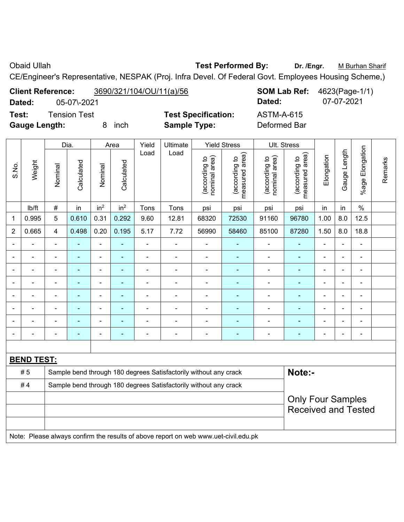Obaid Ullah **Test Performed By:** Dr. /Engr. M Burhan Sharif

CE/Engineer's Representative, NESPAK (Proj. Infra Devel. Of Federal Govt. Employees Housing Scheme,)

**Client Reference:** 3690/321/104/OU/11(a)/56 **SOM Lab Ref:** 4623(Page-1/1) **Dated:** 05-07\-2021 **Dated:** 07-07-2021

**Test:** Tension Test **Test Specification:** ASTM-A-615 **Gauge Length:** 8 inch **Sample Type:** Deformed Bar

|                |                   |                          | Dia.       |                          | Area            | Yield          | Ultimate                                                         |                                | <b>Yield Stress</b>                                                                 |                                | Ult. Stress                     |                |                          |                          |         |
|----------------|-------------------|--------------------------|------------|--------------------------|-----------------|----------------|------------------------------------------------------------------|--------------------------------|-------------------------------------------------------------------------------------|--------------------------------|---------------------------------|----------------|--------------------------|--------------------------|---------|
| S.No.          | Weight            | Nominal                  | Calculated | Nominal                  | Calculated      | Load           | Load                                                             | nominal area)<br>(according to | measured area)<br>(according to                                                     | nominal area)<br>(according to | (according to<br>measured area) | Elongation     | Gauge Length             | %age Elongation          | Remarks |
|                | lb/ft             | $\#$                     | in         | in <sup>2</sup>          | in <sup>2</sup> | Tons           | Tons                                                             | psi                            | psi                                                                                 | psi                            | psi                             | in             | in                       | $\%$                     |         |
| 1              | 0.995             | 5                        | 0.610      | 0.31                     | 0.292           | 1.00           | 8.0                                                              | 12.5                           |                                                                                     |                                |                                 |                |                          |                          |         |
| $\overline{2}$ | 0.665             | 4                        | 0.498      | 0.20                     | 0.195           | 5.17           | 7.72                                                             | 56990                          | 58460                                                                               | 85100                          | 87280                           | 1.50           | 8.0                      | 18.8                     |         |
|                |                   | $\blacksquare$           | ä,         | $\blacksquare$           | ÷,              | ä,             | $\blacksquare$                                                   | ÷,                             | $\blacksquare$                                                                      | $\blacksquare$                 | ÷,                              | ä,             | Ē,                       | $\blacksquare$           |         |
|                | $\blacksquare$    | $\blacksquare$           | ۰          | $\blacksquare$           | $\blacksquare$  | $\blacksquare$ | $\blacksquare$                                                   | $\blacksquare$                 | $\blacksquare$                                                                      | $\overline{\phantom{a}}$       | ÷                               | $\blacksquare$ |                          | $\blacksquare$           |         |
|                |                   |                          |            | $\blacksquare$           | $\overline{a}$  | $\blacksquare$ | L.                                                               | $\blacksquare$                 | $\overline{a}$                                                                      | $\overline{a}$                 |                                 |                |                          | $\blacksquare$           |         |
|                |                   |                          |            | $\blacksquare$           |                 |                |                                                                  |                                | $\blacksquare$                                                                      | $\blacksquare$                 |                                 |                |                          | $\blacksquare$           |         |
|                |                   |                          |            | Ē,                       |                 |                |                                                                  | Ē,                             | ٠                                                                                   | $\blacksquare$                 |                                 |                |                          | ÷                        |         |
|                |                   |                          |            | -                        |                 |                |                                                                  | $\blacksquare$                 | $\blacksquare$                                                                      | ÷                              |                                 | Ē,             | $\overline{\phantom{0}}$ | $\overline{\phantom{a}}$ |         |
|                |                   | ٠                        | ۰          | $\overline{\phantom{a}}$ | ÷               | $\blacksquare$ | $\blacksquare$                                                   | $\blacksquare$                 | $\blacksquare$                                                                      | ÷                              | $\overline{\phantom{0}}$        | $\blacksquare$ | i.                       | $\overline{\phantom{a}}$ |         |
|                | ÷                 | $\overline{\phantom{a}}$ | ۰          | $\overline{a}$           | ÷               | $\blacksquare$ | $\blacksquare$                                                   | $\blacksquare$                 | ٠                                                                                   | ÷                              |                                 | Ē,             |                          | $\overline{\phantom{a}}$ |         |
|                |                   |                          |            |                          |                 |                |                                                                  |                                |                                                                                     |                                |                                 |                |                          |                          |         |
|                | <b>BEND TEST:</b> |                          |            |                          |                 |                |                                                                  |                                |                                                                                     |                                |                                 |                |                          |                          |         |
|                | #5                |                          |            |                          |                 |                | Sample bend through 180 degrees Satisfactorily without any crack |                                |                                                                                     |                                | Note:-                          |                |                          |                          |         |
|                | #4                |                          |            |                          |                 |                | Sample bend through 180 degrees Satisfactorily without any crack |                                |                                                                                     |                                |                                 |                |                          |                          |         |
|                |                   | <b>Only Four Samples</b> |            |                          |                 |                |                                                                  |                                |                                                                                     |                                |                                 |                |                          |                          |         |
|                |                   |                          |            |                          |                 |                |                                                                  |                                |                                                                                     |                                | <b>Received and Tested</b>      |                |                          |                          |         |
|                |                   |                          |            |                          |                 |                |                                                                  |                                |                                                                                     |                                |                                 |                |                          |                          |         |
|                |                   |                          |            |                          |                 |                |                                                                  |                                | Note: Please always confirm the results of above report on web www.uet-civil.edu.pk |                                |                                 |                |                          |                          |         |